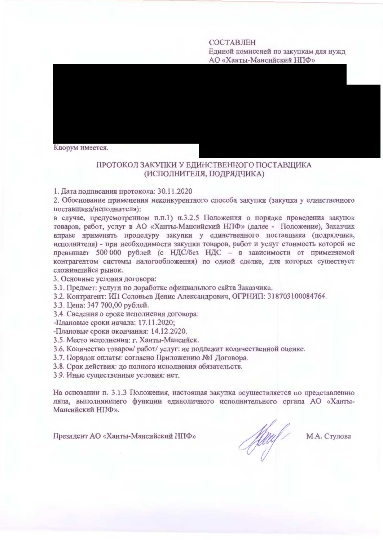## СОСТАВЛЕН Единой комиссией по закупкам для нужд АО «Ханты-Мансийский НПФ»

Кворум имеется.

## ПРОТОКОЛ ЗАКУПКИ У ЕДИНСТВЕННОГО ПОСТАВЩИКА (ИСПОЛНИТЕЛЯ, ПОДРЯДЧИКА)

1. Дата подписания протокола: 30.11.2020

2. Обоснование применения неконкурентного способа закупки (закупка у единственного поставщика/исполнителя):

в случае, предусмотренном п.п.1) п.3.2.5 Положения о порядке проведения закупок товаров, работ, услуг в АО «Ханты-Мансийский НПФ» (далее - Положение), Заказчик вправе применять процедуру закупки у единственного поставщика (подрядчика, исполнителя) - при необходимости закупки товаров, работ и услуг стоимость которой не превышает 500 000 рублей (с НДС/без НДС - в зависимости от применяемой контрагентом системы налогообложения) по одной сделке, для которых существует сложившийся рынок.

3. Основные условия договора:

3.1. Предмет: услуги по доработке официального сайта Заказчика.

3.2. Контрагент: ИП Соловьев Денис Александрович, ОГРНИП: 318703100084764.

3.3. Цена: 347 700,00 рублей.

3.4. Сведения о сроке исполнения договора:

-Плановые сроки начала: 17.11.2020;

-Плановые сроки окончания: 14.12.2020.

3.5. Место исполнения: г. Ханты-Мансийск.

3.6. Количество товаров/ работ/ услуг: не подлежит количественной оценке.

3.7. Порядок оплаты: согласно Приложению №1 Договора.

3.8. Срок действия: до полного исполнения обязательств.

3.9. Иные существенные условия: нет.

На основании п. 3.1.3 Положения, настоящая закупка осуществляется по представлению лица, выполняющего функции единоличного исполнительного органа АО «Ханты-Мансийский НПФ».

Президент АО «Ханты-Мансийский НПФ»

Hauf

М.А. Стулова